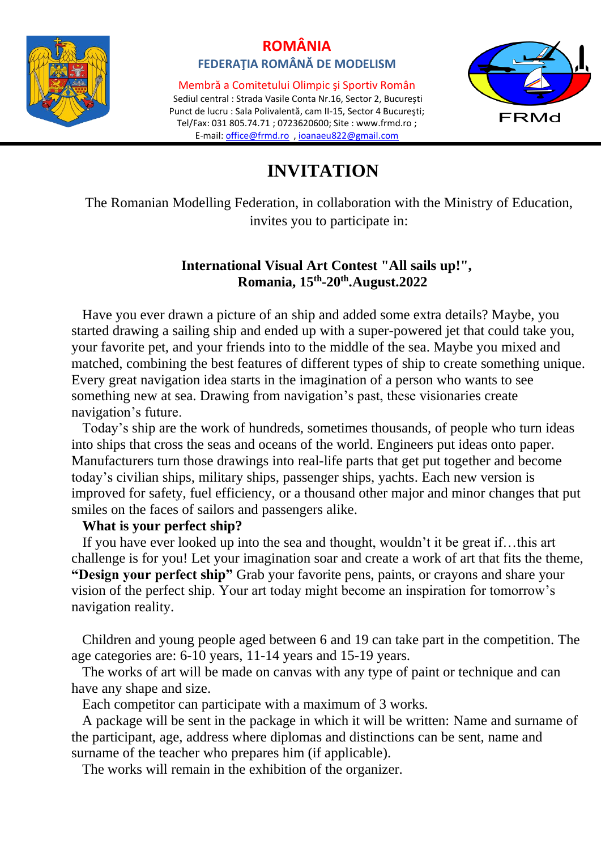

# **ROMÂNIA FEDERAŢIA ROMÂNĂ DE MODELISM**

Membră a Comitetului Olimpic şi Sportiv Român Sediul central : Strada Vasile Conta Nr.16, Sector 2, Bucureşti Punct de lucru : Sala Polivalentă, cam II-15, Sector 4 Bucureşti; Tel/Fax: 031 805.74.71 ; 0723620600; Site : [www.frmd.ro](http://www.frmd.ro/) ; E-mail: [office@frmd.ro](mailto:office@frmd.ro) , [ioanaeu822@gmail.com](mailto:ioanaeu822@gmail.com)



# **INVITATION**

The Romanian Modelling Federation, in collaboration with the Ministry of Education, invites you to participate in:

### **International Visual Art Contest "All sails up!", Romania, 15th -20th.August.2022**

 Have you ever drawn a picture of an ship and added some extra details? Maybe, you started drawing a sailing ship and ended up with a super-powered jet that could take you, your favorite pet, and your friends into to the middle of the sea. Maybe you mixed and matched, combining the best features of different types of ship to create something unique. Every great navigation idea starts in the imagination of a person who wants to see something new at sea. Drawing from navigation's past, these visionaries create navigation's future.

 Today's ship are the work of hundreds, sometimes thousands, of people who turn ideas into ships that cross the seas and oceans of the world. Engineers put ideas onto paper. Manufacturers turn those drawings into real-life parts that get put together and become today's civilian ships, military ships, passenger ships, yachts. Each new version is improved for safety, fuel efficiency, or a thousand other major and minor changes that put smiles on the faces of sailors and passengers alike.

#### **What is your perfect ship?**

 If you have ever looked up into the sea and thought, wouldn't it be great if…this art challenge is for you! Let your imagination soar and create a work of art that fits the theme, **"Design your perfect ship"** Grab your favorite pens, paints, or crayons and share your vision of the perfect ship. Your art today might become an inspiration for tomorrow's navigation reality.

 Children and young people aged between 6 and 19 can take part in the competition. The age categories are: 6-10 years, 11-14 years and 15-19 years.

 The works of art will be made on canvas with any type of paint or technique and can have any shape and size.

Each competitor can participate with a maximum of 3 works.

 A package will be sent in the package in which it will be written: Name and surname of the participant, age, address where diplomas and distinctions can be sent, name and surname of the teacher who prepares him (if applicable).

The works will remain in the exhibition of the organizer.